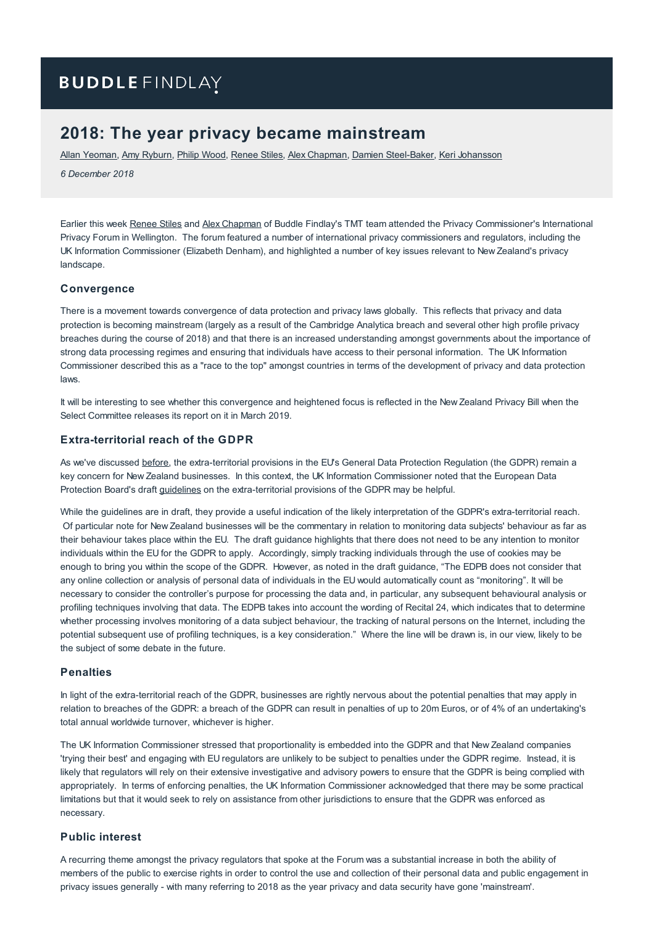# **BUDDLE FINDLAY**

## **2018: The year privacy became mainstream**

Allan [Yeoman](https://www.buddlefindlay.com/people/allan-yeoman/), Amy [Ryburn](https://www.buddlefindlay.com/people/amy-ryburn/), Philip [Wood](https://www.buddlefindlay.com/people/philip-wood/), [Renee](https://www.buddlefindlay.com/people/renee-stiles/) Stiles, Alex [Chapman](https://www.buddlefindlay.com/people/alex-chapman/), Damien [Steel-Baker](https://www.buddlefindlay.com/people/damien-steel-baker/), Keri [Johansson](https://www.buddlefindlay.com/people/keri-johansson/)

*6 December 2018*

Earlier this week [Renee](https://www.buddlefindlay.com/people/renee-stiles/) Stiles and Alex [Chapman](https://www.buddlefindlay.com/people/alex-chapman/) of Buddle Findlay's TMT team attended the Privacy Commissioner's International Privacy Forum in Wellington. The forum featured a number of international privacy commissioners and regulators, including the UK Information Commissioner (Elizabeth Denham), and highlighted a number of key issues relevant to New Zealand's privacy landscape.

#### **Convergence**

There is a movement towards convergence of data protection and privacy laws globally. This reflects that privacy and data protection is becoming mainstream (largely as a result of the Cambridge Analytica breach and several other high profile privacy breaches during the course of 2018) and that there is an increased understanding amongst governments about the importance of strong data processing regimes and ensuring that individuals have access to their personal information. The UK Information Commissioner described this as a "race to the top" amongst countries in terms of the development of privacy and data protection laws.

It will be interesting to see whether this convergence and heightened focus is reflected in the New Zealand Privacy Bill when the Select Committee releases its report on it in March 2019.

#### **Extra-territorial reach of the GDPR**

As we've discussed [before](https://www.buddlefindlay.com/insights/legal-update-on-tmt-november-2018/), the extra-territorial provisions in the EU's General Data Protection Regulation (the GDPR) remain a key concern for New Zealand businesses. In this context, the UK Information Commissioner noted that the European Data Protection Board's draft [guidelines](https://edpb.europa.eu/sites/edpb/files/files/file1/edpb_guidelines_3_2018_territorial_scope_en.pdf) on the extra-territorial provisions of the GDPR may be helpful.

While the guidelines are in draft, they provide a useful indication of the likely interpretation of the GDPR's extra-territorial reach. Of particular note for New Zealand businesses will be the commentary in relation to monitoring data subjects' behaviour as far as their behaviour takes place within the EU. The draft guidance highlights that there does not need to be any intention to monitor individuals within the EU for the GDPR to apply. Accordingly, simply tracking individuals through the use of cookies may be enough to bring you within the scope of the GDPR. However, as noted in the draft guidance, "The EDPB does not consider that any online collection or analysis of personal data of individuals in the EU would automatically count as "monitoring". It will be necessary to consider the controller's purpose for processing the data and, in particular, any subsequent behavioural analysis or profiling techniques involving that data. The EDPB takes into account the wording of Recital 24, which indicates that to determine whether processing involves monitoring of a data subject behaviour, the tracking of natural persons on the Internet, including the potential subsequent use of profiling techniques, is a key consideration." Where the line will be drawn is, in our view, likely to be the subject of some debate in the future.

#### **Penalties**

In light of the extra-territorial reach of the GDPR, businesses are rightly nervous about the potential penalties that may apply in relation to breaches of the GDPR: a breach of the GDPR can result in penalties of up to 20m Euros, or of 4% of an undertaking's total annual worldwide turnover, whichever is higher.

The UK Information Commissioner stressed that proportionality is embedded into the GDPR and that New Zealand companies 'trying their best' and engaging with EU regulators are unlikely to be subject to penalties under the GDPR regime. Instead, it is likely that regulators will rely on their extensive investigative and advisory powers to ensure that the GDPR is being complied with appropriately. In terms of enforcing penalties, the UK Information Commissioner acknowledged that there may be some practical limitations but that it would seek to rely on assistance from other jurisdictions to ensure that the GDPR was enforced as necessary.

#### **Public interest**

A recurring theme amongst the privacy regulators that spoke at the Forum was a substantial increase in both the ability of members of the public to exercise rights in order to control the use and collection of their personal data and public engagement in privacy issues generally - with many referring to 2018 as the year privacy and data security have gone 'mainstream'.